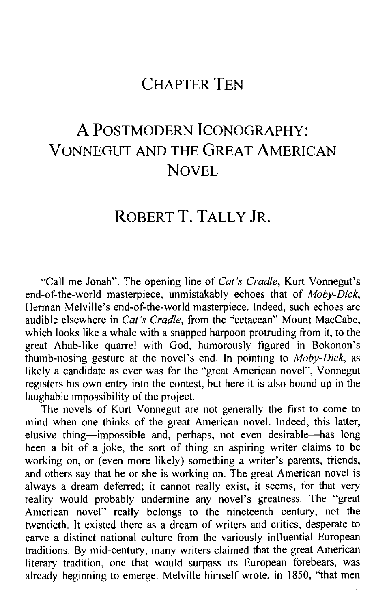## **CHAPTER TEN**

# A POSTMODERN ICONOGRAPHY: VONNEGUT AND THE GREAT AMERICAN NOVEL

## ROBERT T. TALLY JR.

"Call me Jonah". The opening line of *Cat's Cradle,* Kurt Vomegut's end-of-the-world masterpiece, unmistakably echoes that of *Moby-Dick,*  Herman Melville's end-of-the-world masterpiece. Indeed, such echoes are audible elsewhere in *Cat's Cradle,* from the "cetacean" Mount MacCabe, which looks like a whale with a snapped harpoon protruding from it, to the great Ahab-like quarrel with God, humorously figured in Bokonon's thumb-nosing gesture at the novel's end. In pointing to *Moby-Dick,* as likely a candidate as ever was for the "great American novel". Vonnegut registers his own entry into the contest, but here it is also bound up in the laughable impossibility of the project.

The novels of Kurt Vonnegut are not generally the first to come to mind when one thinks of the great American novel. Indeed, this latter, elusive thing-impossible and, perhaps, not even desirable-has long been a bit of a joke, the sort of thing an aspiring writer claims to be working on, or (even more likely) something a writer's parents, friends, and others say that he or she is working on. The great American novel is always a dream deferred; it cannot really exist, it seems, for that very reality would probably undermine any novel's greatness. The "great American novel" really belongs to the nineteenth century, not the twentieth. It existed there as a dream of writers and critics, desperate to carve a distinct national culture from the variously influential European traditions. By mid-century, many writers claimed that the great American literary tradition, one that would surpass its European forebears, was already beginning to emerge. Melville himself wrote, in 1850, "that men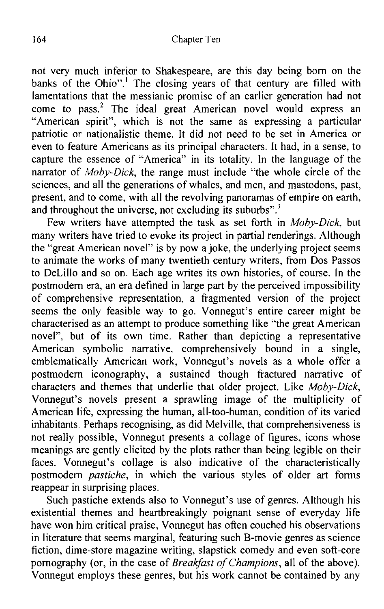not very much inferior to Shakespeare, are this day being born on the banks of the Ohio".<sup>1</sup> The closing years of that century are filled with lamentations that the messianic promise of an earlier generation had not come to pass.<sup>2</sup> The ideal great American novel would express an "American spirit", which is not the same as expressing a particular patriotic or nationalistic theme. It did not need to be set in America or even to feature Americans as its principal characters. It had, in a sense, to capture the essence of "America" in its totality. In the language of the narrator of *Moby-Dick*, the range must include "the whole circle of the sciences, and all the generations of whales, and men, and mastodons, past, present, and to come, with all the revolving panoramas of empire on earth, and throughout the universe, not excluding its suburbs".<sup>3</sup>

Few writers have attempted the task as set forth in *Moby-Dick,* but many writers have tried to evoke its project in partial renderings. Although the "great American novel" is by now a joke, the underlying project seems to animate the works of many twentieth century writers, from Dos Passos to DeLillo and so on. Each age writes its own histories, of course. In the postmodem era, an era defined in large part by the perceived impossibility of comprehensive representation, a fragmented version of the project seems the only feasible way to go. Vonnegut's entire career might be characterised as an attempt to produce something like "the great American novel", but of its own time. Rather than depicting a representative American symbolic narrative, comprehensively bound in a single, emblematically American work, Vonnegut's novels as a whole offer a postmodern iconography, a sustained though fractured narrative of characters and themes that underlie that older project. Like *Moby-Dick,*  Vonnegut's novels present a sprawling image of the multiplicity of American life, expressing the human, all-too-human, condition of its varied inhabitants. Perhaps recognising, as did Melville, that comprehensiveness is not really possible, Vonnegut presents a collage of figures, icons whose meanings are gently elicited by the plots rather than being legible on their faces. Vonnegut's collage is also indicative of the characteristically postmodem *pastiche,* in which the various styles of older art forms reappear in surprising places.

Such pastiche extends also to Vonnegut's use of genres. Although his existential themes and heartbreakingly poignant sense of everyday life have won him critical praise, Vonnegut has often couched his observations in literature that seems marginal, featuring such B-movie genres as science fiction, dime-store magazine writing, slapstick comedy and even soft-core pornography (or, in the case of *Breakfast of Champions*, all of the above). Vonnegut employs these genres, but his work cannot be contained by any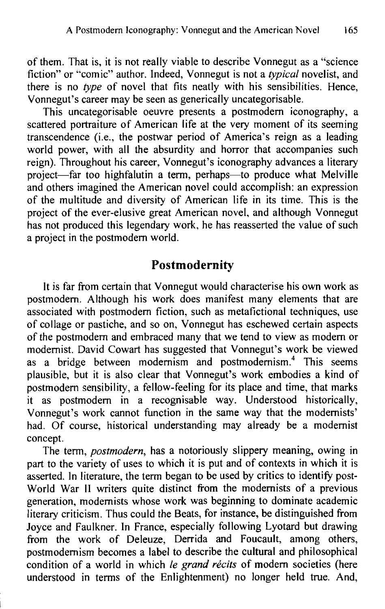of them. That is, it is not really viable to describe Vonnegut as a "science fiction" or "comic" author. Indeed, Vonnegut is not a *typical* novelist, and there is no *type* of novel that fits neatly with his sensibilities. Hence, Vonnegut's career may be seen as generically uncategorisable.

This uncategorisable oeuvre presents a postmodern iconography, a scattered portraiture of American life at the very moment of its seeming transcendence (i.e., the postwar period of America's reign as a leading world power, with all the absurdity and horror that accompanies such reign). Throughout his career, Vonnegut's iconography advances a literary project—far too highfalutin a term, perhaps—to produce what Melville and others imagined the American novel could accomplish: an expression of the multitude and diversity of American life in its time. This is the project of the ever-elusive great American novel, and although Vonnegut has not produced this legendary work, he has reasserted the value of such a project in the postmodern world.

#### **Postmodernity**

It is far from certain that Vonnegut would characterise his own work as postmodern. Although his work does manifest many elements that are associated with postmodern fiction, such as metafictional techniques, use of collage or pastiche, and so on, Vonnegut has eschewed certain aspects of the postmodern and embraced many that we tend to view as modem or modernist. David Cowart has suggested that Vonnegut's work be viewed as a bridge between modernism and postmodernism.<sup>4</sup> This seems plausible, but it is also clear that Vonnegut's work embodies a kind of postmodern sensibility, a fellow-feeling for its place and time, that marks it as postmodern in a recognisable way. Understood historically, Vonnegut's work cannot function in the same way that the modernists' had. Of course, historical understanding may already be a modernist concept.

The term, *postmodern,* has a notoriously slippery meaning, owing in part to the variety of uses to which it is put and of contexts in which it is asserted. In literature, the term began to be used by critics to identify post-World War II writers quite distinct from the modernists of a previous generation, modernists whose work was beginning to dominate academic literary criticism. Thus could the Beats, for instance, be distinguished from Joyce and Faulkner. In France, especially following Lyotard but drawing from the work of Deleuze, Derrida and Foucault, among others, postmodernism becomes a label to describe the cultural and philosophical condition of a world in which *le grand récits* of modern societies (here understood in terms of the Enlightenment) no longer held true. And,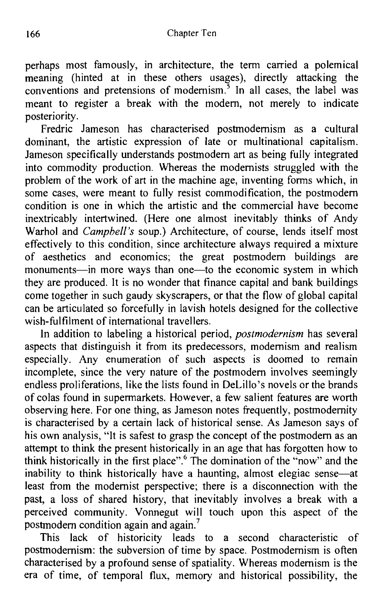perhaps most famously, in architecture, the term carried a polemical meaning (hinted at in these others usages), directly attacking the conventions and pretensions of modernism.<sup>2</sup> In all cases, the label was meant to register a break with the modem, not merely to indicate posteriority.

Fredric Jameson has characterised postmodemism as a cultural dominant, the artistic expression of late or multinational capitalism. Jameson specifically understands postmodem art as being fully integrated into commodity production. Whereas the modernists struggled with the problem of the work of art in the machine age, inventing forms which, in some cases, were meant to fully resist commodification, the postmodem condition is one in which the artistic and the commercial have become inextricably intertwined. (Here one almost inevitably thinks of Andy Warhol and *Campbell's* soup.) Architecture, of course, lends itself most effectively to this condition, since architecture always required a mixture of aesthetics and economics; the great postmodem buildings are monuments-in more ways than one-to the economic system in which they are produced. It is no wonder that finance capital and bank buildings come together in such gaudy skyscrapers, or that the flow of global capital can be articulated so forcefully in lavish hotels designed for the collective wish-fulfilment of international travellers.

In addition to labeling a historical period, *postmodernism* has several aspects that distinguish it from its predecessors, modernism and realism especially. Any enumeration of such aspects is doomed to remain incomplete, since the very nature of the postmodern involves seemingly endless proliferations, like the lists found in DeLillo's novels or the brands of colas found in supermarkets. However, a few salient features are worth observing here. For one thing, as Jameson notes frequently, postmodemity is characterised by a certain lack of historical sense. As Jameson says of his own analysis, "It is safest to grasp the concept of the postmodem as an attempt to think the present historically in an age that has forgotten how to think historically in the first place".<sup>6</sup> The domination of the "now" and the inability to think historically have a haunting, almost elegiac sense—at least from the modernist perspective; there is a disconnection with the past, a loss of shared history, that inevitably involves a break with a perceived community. Vonnegut will touch upon this aspect of the postmodem condition again and again.'

This lack of historicity leads to a second characteristic of postmodemism: the subversion of time by space. Postmodemism is often characterised by a profound sense of spatiality. Whereas modernism is the era of time, of temporal flux, memory and historical possibility, the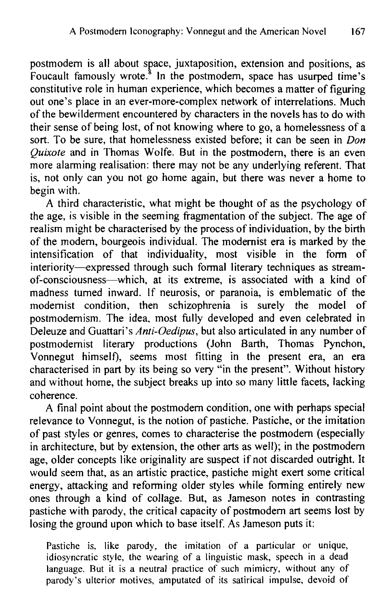postmodern is all about space, juxtaposition, extension and positions, as Foucault famously wrote.8 In the postmodern, space has usurped time's constitutive role in human experience, which becomes a matter of figuring out one's place in an ever-more-complex network of interrelations. Much of the bewilderment encountered by characters in the novels has to do with their sense of being lost, of not knowing where to go, a homelessness of a sort. To be sure, that homelessness existed before; it can be seen in *Don Quixote* and in Thomas Wolfe. But in the postmodern, there is an even more alarming realisation: there may not be any underlying referent. That is, not only can you not go home again, but there was never a home to begin with.

A third characteristic, what might be thought of as the psychology of the age, is visible in the seeming fragmentation of the subject. The age of realism might be characterised by the process of individuation, by the birth of the modem, bourgeois individual. The modernist era is marked by the intensification of that individuality, most visible in the form of interiority-expressed through such formal literary techniques as streamof-consciousness-which, at its extreme, is associated with a kind of madness turned inward. If neurosis, or paranoia, is emblematic of the modernist condition, then schizophrenia is surely the model of postmodernism. The idea, most fully developed and even celebrated in Deleuze and Guattari's *Anti-Oedipus,* but also articulated in any number of postmodernist literary productions (John Barth, Thomas Pynchon, Vonnegut himself), seems most fitting in the present era, an era characterised in part by its being so very "in the present". Without history and without home, the subject breaks up into so many little facets, lacking coherence.

A final point about the postmodern condition, one with perhaps special relevance to Vonnegut, is the notion of pastiche. Pastiche, or the imitation of past styles or genres, comes to characterise the postmodern (especially in architecture, but by extension, the other arts as well); in the postmodern age, older concepts like originality are suspect if not discarded outright. It would seem that, as an artistic practice, pastiche might exert some critical energy, attacking and reforming older styles while forming entirely new ones through a kind of collage. But, as Jameson notes in contrasting pastiche with parody, the critical capacity of postmodern art seems lost by losing the ground upon which to base itself. As Jameson puts it:

Pastiche is, like parody, the imitation of a particular or unique, idiosyncratic style, the wearing of a linguistic mask, speech in a dead language. But it is a neutral practice of such mimicry, without any of parody's ulterior motives, amputated of its satirical impulse, devoid of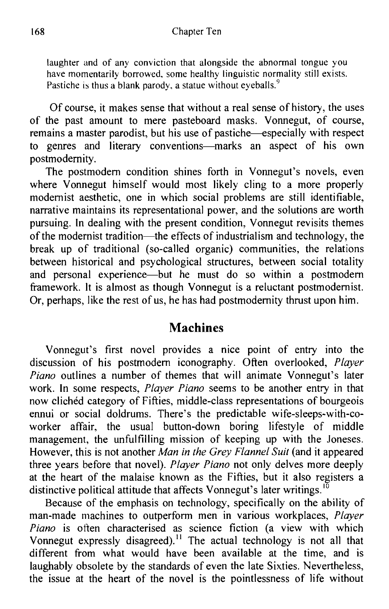laughter and of any conviction that alongside the abnormal tongue you have momentarily borrowed, some healthy linguistic normality still exists. Pastiche is thus a blank parody, a statue without eveballs.<sup>9</sup>

Of course, it makes sense that without a real sense of history, the uses of the past amount to mere pasteboard masks. Vonnegut, of course, remains a master parodist, but his use of pastiche—especially with respect to genres and literary conventions—marks an aspect of his own postmodernity.

The postmodern condition shines forth in Vonnegut's novels, even where Vonnegut himself would most likely cling to a more properly modernist aesthetic, one in which social problems are still identifiable, narrative maintains its representational power, and the solutions are worth pursuing. In dealing with the present condition, Vonnegut revisits themes of the modernist tradition-the effects of industrialism and technology, the break up of traditional (so-called organic) communities, the relations between historical and psychological structures, between social totality and personal experience—but he must do so within a postmodern framework. It is almost as though Vonnegut is a reluctant postmodernist. Or, perhaps, like the rest of us, he has had postmodernity thrust upon him.

#### **Machines**

Vonnegut's first novel provides a nice point of entry into the discussion of his postmodern iconography. Often overlooked, *Player Piano* outlines a number of themes that will animate Vonnegut's later work. In some respects, *Player Piano* seems to be another entry in that now cliched category of Fifties, middle-class representations of bourgeois ennui or social doldrums. There's the predictable wife-sleeps-with-coworker affair, the usual button-down boring lifestyle of middle management, the unfulfilling mission of keeping up with the Joneses. However, this is not another *Man in the Grey Flannel Suit* (and it appeared three years before that novel). *Player Piano* not only delves more deeply at the heart of the malaise known as the Fifties, but it also registers a distinctive political attitude that affects Vonnegut's later writings.<sup>16</sup>

Because of the emphasis on technology, specifically on the ability of man-made machines to outperform men in various workplaces, *Player Piano* is often characterised as science fiction (a view with which Vonnegut expressly disagreed)." The actual technology is not all that different from what would have been available at the time, and is laughably obsolete by the standards of even the late Sixties. Nevertheless, the issue at the heart of the novel is the pointlessness of life without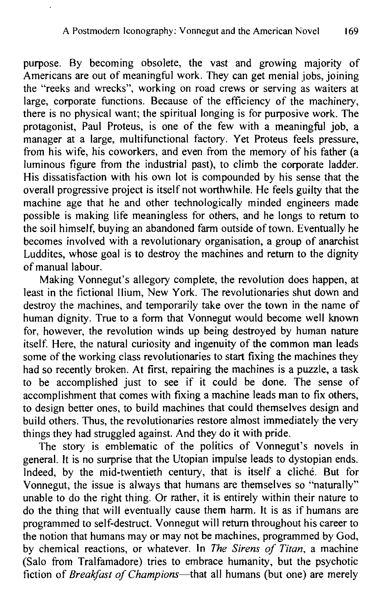purpose. By becoming obsolete, the vast and growing majority of Americans are out of meaningful work. They can get menial jobs, joining the "reeks and wrecks", working on road crews or serving as waiters at large, corporate functions. Because of the efficiency of the machinery, there is no physical want; the spiritual longing is for purposive work. The protagonist, Paul Proteus, is one of the few with a meaningful job, a manager at a large, multifunctional factory. Yet Proteus feels pressure, from his wife, his coworkers, and even from the memory of his father (a luminous figure from the industrial past), to climb the corporate ladder. His dissatisfaction with his own lot is compounded by his sense that the overall progressive project is itself not worthwhile. He feels guilty that the machine age that he and other technologically minded engineers made possible is making life meaningless for others, and he longs to return to the soil himself, buying an abandoned farm outside of town. Eventually he becomes involved with a revolutionary organisation, a group of anarchist Luddites, whose goal is to destroy the machines and return to the dignity of manual labour.

Making Vonnegut's allegory complete, the revolution does happen, at least in the fictional Ilium, New York. The revolutionaries shut down and destroy the machines, and temporarily take over the town in the name of human dignity. True to a form that Vonnegut would become well known for, however, the revolution winds up being destroyed by human nature itself. Here, the natural curiosity and ingenuity of the common man leads some of the working class revolutionaries to start fixing the machines they had so recently broken. At first, repairing the machines is a puzzle, a task to be accomplished just to see if it could be done. The sense of accomplishment that comes with fixing a machine leads man to fix others, to design better ones, to build machines that could themselves design and build others. Thus, the revolutionaries restore almost immediately the very things they had struggled against. And they do it with pride.

The story is emblematic of the politics of Vonnegut's novels in general. It is no surprise that the Utopian impulse leads to dystopian ends. Indeed, by the mid-twentieth century, that is itself a cliche. But for Vonnegut, the issue is always that humans are themselves so "naturally" unable to do the right thing. Or rather, it is entirely within their nature to do the thing that will eventually cause them harm. It is as if humans are programmed to self-destruct. Vonnegut will retum throughout his career to the notion that humans may or may not be machines, programmed by God, by chemical reactions, or whatever. In The Sirens of Titan, a machine (Salo from Tralfamadore) tries to embrace humanity, but the psychotic fiction of *Breakfast of Champions*—that all humans (but one) are merely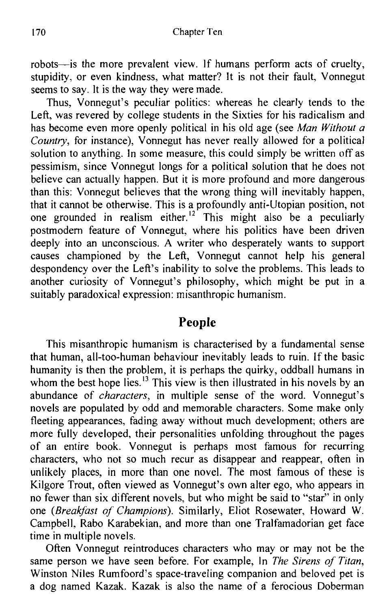robots-is the more prevalent view. If humans perform acts of cruelty, stupidity, or even kindness, what matter? It is not their fault, Vonnegut seems to say. It is the way they were made.

Thus, Vonnegut's peculiar politics: whereas he clearly tends to the Left, was revered by college students in the Sixties for his radicalism and has become even more openly political in his old age (see Man Without  $a$ Country, for instance), Vonnegut has never really allowed for a political solution to anything. In some measure, this could simply be written off as pessimism, since Vonnegut longs for a political solution that he does not believe can actually happen. But it is more profound and more dangerous than this: Vonnegut believes that the wrong thing will inevitably happen, that it cannot be otherwise. This is a profoundly anti-Utopian position, not one grounded in realism either.<sup>12</sup> This might also be a peculiarly postmodem feature of Vonnegut, where his politics have been driven deeply into an unconscious. **A** writer who desperately wants to support causes championed by the Lefi, Vonnegut cannot help his general despondency over the Left's inability to solve the problems. This leads to another curiosity of Vonnegut's philosophy, which might be put in a suitably paradoxical expression: misanthropic humanism.

#### **People**

This misanthropic humanism is characterised by a fundamental sense that human, all-too-human behaviour inevitably leads to ruin. If the basic humanity is then the problem, it is perhaps the quirky, oddball humans in whom the best hope lies. $13$  This view is then illustrated in his novels by an abundance of characters, in multiple sense of the word. Vonnegut's novels are populated by odd and memorable characters. Some make only fleeting appearances, fading away without much development; others are more fully developed, their personalities unfolding throughout the pages of an entire book. Vonnegut is perhaps most famous for recurring characters, who not so much recur as disappear and reappear, often in unlikely places, in more than one novel. The most famous of these is Kilgore Trout, often viewed as Vonnegut's own alter ego, who appears in no fewer than six different novels, but who might be said to "star" in only one (Breakfast of Champions). Similarly, Eliot Rosewater, Howard W. Campbell, Rabo Karabekian, and more than one Tralfamadorian get face time in multiple novels.

Often Vonnegut reintroduces characters who may or may not be the same person we have seen before. For example, In The Sirens of Titan, Winston Niles Rumfoord's space-traveling companion and beloved pet is a dog named Kazak. Kazak is also the name of a ferocious Doberman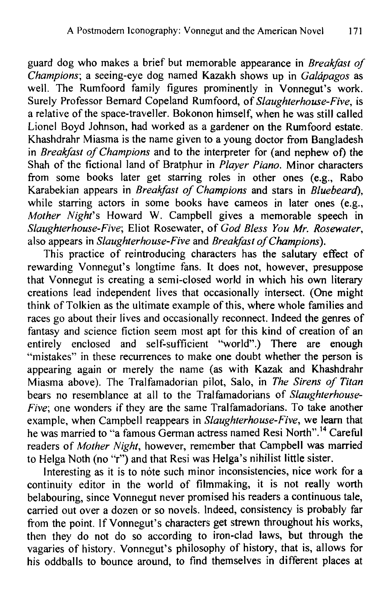guard dog who makes a brief but memorable appearance in *Breakfast of Champions;* a seeing-eye dog named Kazakh shows up in *Galapagos* as well. The Rumfoord family figures prominently in Vonnegut's work. Surely Professor Bernard Copeland Rumfoord, of *Slaughterhouse-Five,* is a relative of the space-traveller. Bokonon himself, when he was still called Lionel Boyd Johnson, had worked as a gardener on the Rumfoord estate. Khashdrahr Miasma is the name given to a young doctor from Bangladesh in *Breakfast of Champions* and to the interpreter for (and nephew of) the Shah of the fictional land of Bratphur in *Player Piano.* Minor characters from some books later get starring roles in other ones (e.g., Rabo Karabekian appears in *Breakfast of Champions* and stars in *Bluebeard*), while starring actors in some books have cameos in later ones (e.g., *Mother Night's* Howard W. Campbell gives a memorable speech in *Slaughterhouse-Five;* Eliot Rosewater, of *God Bless You Mr. Rosewater,*  also appears in *Slaughterhouse-Five* and *Breakfast of Champions*).

This practice of reintroducing characters has the salutary effect of rewarding Vonnegut's longtime fans. It does not, however, presuppose that Vonnegut is creating a semi-closed world in which his own literary creations lead independent lives that occasionally intersect. (One might think of Tolkien as the ultimate example of this, where whole families and races go about their lives and occasionally reconnect. Indeed the genres of fantasy and science fiction seem most apt for this kind of creation of an entirely enclosed and self-sufficient "world".) There are enough "mistakes" in these recurrences to make one doubt whether the person is appearing again or merely the name (as with Kazak and Khashdrahr Miasma above). The Tralfamadorian pilot, Salo, in *The Sirens of Titan*  bears no resemblance at all to the Tralfamadorians of *Slaughterhouse-Five*; one wonders if they are the same Tralfamadorians. To take another example, when Campbell reappears in *Slaughterhouse-Five,* we learn that he was married to "a famous German actress named Resi North".<sup>14</sup> Careful readers of *Mother Night,* however, remember that Campbell was married to Helga Noth (no "r") and that Resi was Helga's nihilist little sister.

Interesting as it is to note such minor inconsistencies, nice work for a continuity editor in the world of filmmaking, it is not really worth belabouring, since Vonnegut never promised his readers a continuous tale, carried out over a dozen or so novels. Indeed, consistency is probably far from the point. If Vonnegut's characters get strewn throughout his works, then they do not do so according to iron-clad laws, but through the vagaries of history. Vonnegut's philosophy of history, that is, allows for his oddballs to bounce around, to find themselves in different places at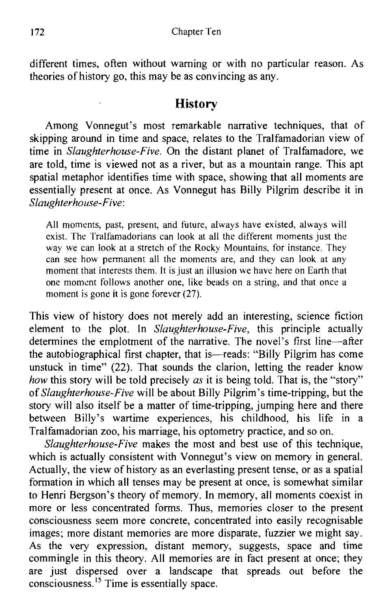different times, often without warning or with no particular reason. As theories of history go, this may be as convincing as any.

#### **History**

Among Vonnegut's most remarkable narrative techniques, that of skipping around in time and space, relates to the Tralfamadorian view of time in *Slaughterhouse-Five.* On the distant planet of Tralfamadore, we are told, time is viewed not as a river, but as a mountain range. This apt spatial metaphor identifies time with space, showing that all moments are essentially present at once. As Vonnegut has Billy Pilgrim describe it in *Slaughterhouse-Five:* 

All moments, past, present, and future, always have existed, always will exist. The Tralfamadorians can look at all the different moments just the way we can look at a stretch of the Rocky Mountains, for instance. They can see how permanent all the moments are, and they can look at any moment that interests them. It is just an illusion we have here on Earth that one moment follows another one, like beads on a string, and that once a moment is gone it is gone forever (27).

This view of history does not merely add an interesting, science fiction element to the plot. In *Slaughterhouse-Five,* this principle actually determines the emplotment of the narrative. The novel's first line-after the autobiographical first chapter, that is—reads: "Billy Pilgrim has come unstuck in time" (22). That sounds the clarion, letting the reader know *how* this story will be told precisely *as* it is being told. That is, the "story" of *Slaughterhouse-Five* will be about Billy Pilgrim's time-tripping, but the story will also itself be a matter of time-tripping, jumping here and there between Billy's wartime experiences, his childhood, his life in a Tralfamadorian zoo, his marriage, his optometry practice, and so on.

*Slaughterhouse-Five* makes the most and best use of this technique, which is actually consistent with Vonnegut's view on memory in general. Actually, the view of history as an everlasting present tense, or as a spatial formation in which all tenses may be present at once, is somewhat similar to Henri Bergson's theory of memory. In memory, all moments coexist in more or less concentrated forms. Thus, memories closer to the present consciousness seem more concrete, concentrated into easily recognisable images; more distant memories are more disparate, fuzzier we might say. As the very expression, distant memory, suggests, space and time commingle in this theory. All memories are in fact present at once; they are just dispersed over a landscape that spreads out before the consciousness.<sup>15</sup> Time is essentially space.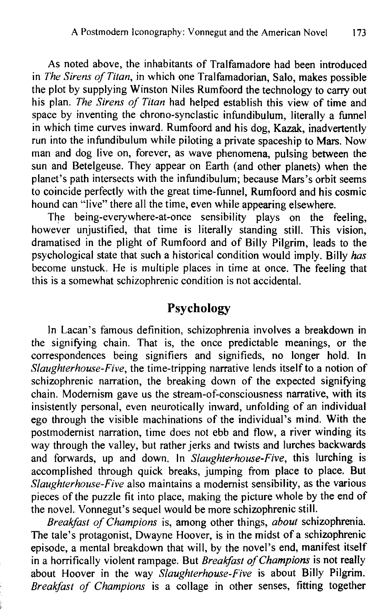As noted above, the inhabitants of Tralfamadore had been introduced in *The Sirens of Titan,* in which one Tralfamadorian, Salo, makes possible the plot by supplying Winston Niles Rumfoord the technology to carry out his plan. *The Sirens of Titan* had helped establish this view of time and space by inventing the chrono-synclastic infundibulum, literally a funnel in which time curves inward. Rumfoord and his dog, **Kazak,** inadvertently run into the infundibulum while piloting a private spaceship to Mars. Now man and dog live on, forever, as wave phenomena, pulsing between the sun and Betelgeuse. They appear on Earth (and other planets) when the planet's path intersects with the infundibulum; because Mars's orbit seems to coincide perfectly with the great time-funnel, Rurnfoord and his cosmic hound can "live" there all the time, even while appearing elsewhere.

The being-everywhere-at-once sensibility plays on the feeling. however unjustified, that time is literally standing still. This vision, dramatised in the plight of Rumfoord and of Billy Pilgrim, leads to the psychological state that such a historical condition would imply. Billy *has*  become unstuck. He is multiple places in time at once. The feeling that this is a somewhat schizophrenic condition is not accidental.

### **Psychology**

In Lacan's famous definition, schizophrenia involves a breakdown in the signifying chain. That is, the once predictable meanings, or the correspondences being signifiers and signifieds, no longer hold. In *Slaughterhouse-Five,* the time-tripping narrative lends itself to a notion of schizophrenic narration, the breaking down of the expected signifying chain. Modernism gave us the stream-of-consciousness narrative, with its insistently personal, even neurotically inward, unfolding of an individual ego through the visible machinations of the individual's mind. With the postmodernist narration, time does not ebb and flow, a river winding its way through the valley, but rather jerks and twists and lurches backwards and forwards, up and down. In *Slaughterhouse-Five,* this lurching is accomplished through quick breaks, jumping from place to place. But *Slaughterhouse-Five* also maintains a modernist sensibility, as the various pieces of the puzzle fit into place, making the picture whole by the end of the novel. Vonnegut's sequel would be more schizophrenic still.

*Breakfast of Champions* is, among other things, *about* schizophrenia. The tale's protagonist, Dwayne Hoover, is in the midst of a schizophrenic episode, a mental breakdown that will, by the novel's end, manifest itself in a horrifically violent rampage. But *Breakfast of Champions* is not really about Hoover in the way *Slaughterhouse-Five* is about Billy Pilgrim. *Breakfast of Champions* is a collage in other senses, fitting together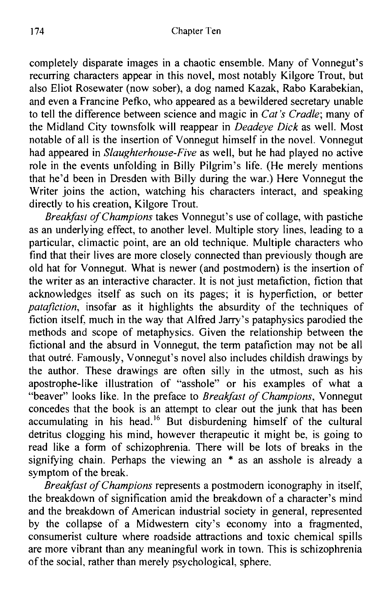completely disparate images in a chaotic ensemble. Many of Vonnegut's recurring characters appear in this novel, most notably Kilgore Trout, but also Eliot Rosewater (now sober), a dog named Kazak, Rabo Karabekian, and even a Francine Pefko, who appeared as a bewildered secretary unable to tell the difference between science and magic in *Cat's Cradle;* many of the Midland City townsfolk will reappear in *Deadeye Dick* as well. Most notable of all is the insertion of Vonnegut himself in the novel. Vonnegut had appeared in *Slaughterhouse-Five* as well, but he had played no active role in the events unfolding in Billy Pilgrim's life. (He merely mentions that he'd been in Dresden with Billy during the war.) Here Vonnegut the Writer joins the action, watching his characters interact, and speaking directly to his creation, Kilgore Trout.

*Breakfasl of Champions* takes Vonnegut's use of collage, with pastiche as an underlying effect, to another level. Multiple story lines, leading to a particular, climactic point, are an old technique. Multiple characters who find that their lives are more closely connected than previously though are old hat for Vonnegut. What is newer (and postmodem) is the insertion of the writer as an interactive character. It is not just metafiction, fiction that acknowledges itself as such on its pages; it is hyperfiction, or better *patafiction*, insofar as it highlights the absurdity of the techniques of fiction itself, much in the way that Alfred Jarry's pataphysics parodied the methods and scope of metaphysics. Given the relationship between the fictional and the absurd in Vonnegut, the term patafiction may not be all that outre. Famously, Vonnegut's novel also includes childish drawings by the author. These drawings are often silly in the utmost, such as his apostrophe-like illustration of "asshole" or his examples of what a "beaver" looks like. In the preface to *Breakfast of Champions,* Vonnegut concedes that the book is an attempt to clear out the junk that has been accumulating in his head.<sup>16</sup> But disburdening himself of the cultural detritus clogging his mind, however therapeutic it might be, is going to read like a form of schizophrenia. There will be lots of breaks in the signifying chain. Perhaps the viewing an \* as an asshole is already a symptom of the break.

*Breakfast of Champions* represents a postmodern iconography in itself, the breakdown of signification amid the breakdown of a character's mind and the breakdown of American industrial society in general, represented by the collapse of a Midwestem city's economy into a fragmented, consumerist culture where roadside attractions and toxic chemical spills are more vibrant than any meaningful work in town. This is schizophrenia of the social, rather than merely psychological, sphere.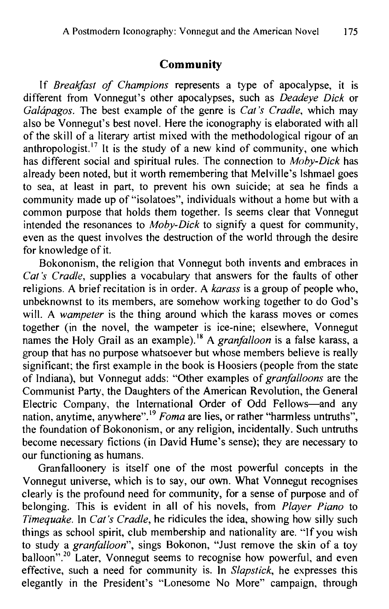#### **Community**

If *Breakfast of Champions* represents a type of apocalypse, it is different from Vonnegut's other apocalypses, such as *Deadeye Dick* or *Galapagos.* The best example of the genre is *Cat's Cradle,* which may also be Vonnegut's best novel. Here the iconography is elaborated with all of the skill of a literary artist mixed with the methodological rigour of an anthropologist." It is the study of a new kind of community, one which has different social and spiritual rules. The connection to *Moby-Dick* has already been noted, but it worth remembering that Melville's Ishmael goes to sea, at least in part, to prevent his own suicide; at sea he finds a community made up of "isolatoes", individuals without a home but with a common purpose that holds them together. Is seems clear that Vonnegut intended the resonances to *Moby-Dick* to signify a quest for community, even as the quest involves the destruction of the world through the desire for knowledge of it.

Bokononism, the religion that Vonnegut both invents and embraces in *Cal's Cradle,* supplies a vocabulary that answers for the faults of other religions. **A** brief recitation is in order. *A karass* is a group of people who, unbeknownst to its members, are somehow working together to do God's will. *A wampeter* is the thing around which the karass moves or comes together (in the novel, the wampeter is ice-nine; elsewhere, Vonnegut names the Holy Grail as an example)." *A granfalloon* is a false karass, a group that has no purpose whatsoever but whose members believe is really significant; the first example in the book is Hoosiers (people from the state of Indiana), but Vonnegut adds: "Other examples of *granfalloons* are the Communist Party, the Daughters of the American Revolution, the General Electric Company, the International Order of Odd Fellows-and any nation, anytime, anywhere".<sup>19</sup> *Foma* are lies, or rather "harmless untruths", the foundation of Bokononism, or any religion, incidentally. Such untruths become necessary fictions (in David Hume's sense); they are necessary to our functioning as humans.

Granfalloonery is itself one of the most powerful concepts in the Vonnegut universe, which is to say, our own. What Vonnegut recognises clearly is the profound need for community, for a sense of purpose and of belonging. This is evident in all of his novels, from *Player Piano* to *Timequake.* In *Cat's Cradle*, he ridicules the idea, showing how silly such things as school spirit, club membership and nationality are. "If you wish to study a *granfalloon",* sings Bokonon, "Just remove the skin of a toy  $b$ alloon".<sup>20</sup> Later, Vonnegut seems to recognise how powerful, and even effective, such a need for community is. In *Slapstick,* he expresses this elegantly in the President's "Lonesome No More" campaign, through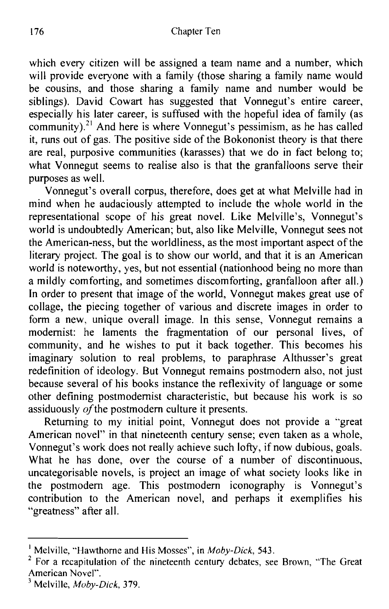which every citizen will be assigned a team name and a number, which will provide everyone with a family (those sharing a family name would be cousins, and those sharing a family name and number would be siblings). David Cowart has suggested that Vonnegut's entire career, especially his later career, is suffused with the hopeful idea of family (as community).<sup>21</sup> And here is where Vonnegut's pessimism, as he has called it, runs out of gas. The positive side of the Bokononist theory is that there are real, purposive communities (karasses) that we do in fact belong to; what Vonnegut seems to realise also is that the granfalloons serve their purposes as well.

Vomegut's overall corpus, therefore, does get at what Melville had in mind when he audaciously attempted to include the whole world in the representational scope of his great novel. Like Melville's, Vonnegut's world is undoubtedly American; but, also like Melville, Vonnegut sees not the Arnerican-ness, but the worldliness, as the most important aspect of the literary project. The goal is to show our world, and that it is an American world is noteworthy, yes, but not essential (nationhood being no more than a mildly comforting, and sometimes discomforting, granfalloon after all.) In order to present that image of the world, Vonnegut makes great use of collage, the piecing together of various and discrete images in order to form a new, unique overall image. In this sense, Vomegut remains a modernist: he laments the fragmentation of our personal lives, of community, and he wishes to put it back together. This becomes his imaginary solution to real problems, to paraphrase Althusser's great redefinition of ideology. But Vonnegut remains postmodern also, not just because several of his books instance the reflexivity of language or some other defining postmodernist characteristic, but because his work is so assiduously  $of$  the postmodern culture it presents.

Returning to my initial point, Vomegut does not provide a "great American novel" in that nineteenth century sense; even taken as a whole, Vonnegut's work does not really achieve such lofty, if now dubious, goals. What he has done, over the course of a number of discontinuous, uncategorisable novels, is project an image of what society looks like in the postmodern age. This postmodern iconography is Vonnegut's contribution to the American novel, and perhaps it exemplifies his "greatness" after all.

<sup>&#</sup>x27; Melville. "Hawthorne and His Mosses", in *Moby-Dick,* 543.

<sup>&</sup>lt;sup>2</sup> For a recapitulation of the nineteenth century debates, see Brown, "The Great American Novel".

Melville, *Moby-Dick*, 379.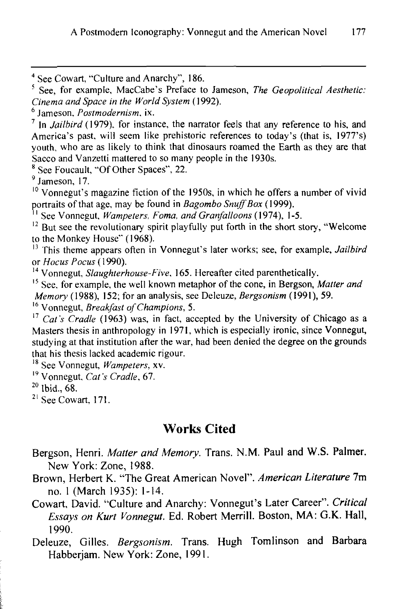<sup>4</sup> See Cowart, "Culture and Anarchy", 186.<br><sup>5</sup> See, for example. MacCabe's Preface to Jameson, *The Geopolitical Aesthetic: Cinema and Space in the World System (1992).* 

Jameson, *Postmodernism,* ix.

 $\frac{1}{1}$  In *Jailbird* (1979), for instance, the narrator feels that any reference to his, and America's past, will seem like prehistoric references to today's (that is, 1977's) youth, who are as likely to think that dinosaurs roamed the Earth as they are that Sacco and Vanzetti mattered to so many people in the 1930s.

<sup>8</sup> See Foucault, "Of Other Spaces", 22.

 $9$  Jameson, 17.

**'O** Vonnegut's magazine fiction of the 1950s. in which he offers a number of vivid portraits of that age, may be found in *Bagombo Snuff Box* (1999).

<sup>11</sup> See Vonnegut, *Wampeters, Foma, and Granfalloons* (1974), 1-5.

<sup>12</sup> But see the revolutionary spirit playfully put forth in the short story, "Welcome" to the Monkey House" (1968).

<sup>13</sup> This theme appears often in Vonnegut's later works; see, for example, *Jailbird* or *Hocus Pocus* ( 1990).

**l4** Vonnegut, *Slaughterhouse-Five.* 165. Hereafter cited parenthetically.

<sup>15</sup> See, for example, the well known metaphor of the cone, in Bergson, *Matter and Memory* (1988), 152; for an analysis, see Deleuze, *Bergsonism* (1991), 59.

**<sup>16</sup>**Vonnegut, *Breakfast of Champions, 5.* 

**l7** *Cat's Cradle* (1963) was, in fact, accepted by the University of Chicago as a Masters thesis in anthropology in 1971, which is especially ironic, since Vonnegut, studying at that institution after the war, had been denied the degree on the grounds that his thesis lacked academic rigour.

<sup>18</sup> See Vonnegut, *Wampeters*, xv.

**l9** Vonnegut. *Cat's Cradle,* 67.

**<sup>20</sup>**Ibid., 68.

 $21$  See Cowart, 171.

#### **Works Cited**

Bergson, Henri. *Matter and Memory.* Trans. N.M. Paul and W.S. Palmer. New York: Zone, 1988.

Brown, Herbert K. "The Great American Novel". *American Literature* 7m no. 1 (March 1935): 1-14.

Cowart, David. "Culture and Anarchy: Vonnegut's Later Career". *Critical Essays on Kurt Vonnegut.* Ed. Robert Merrill. Boston, MA: G.K. Hall, 1990.

Deleuze, Gilles. *Bergsonism.* Trans. Hugh Tomlinson and Barbara Habberjam. New York: Zone, 199 1.